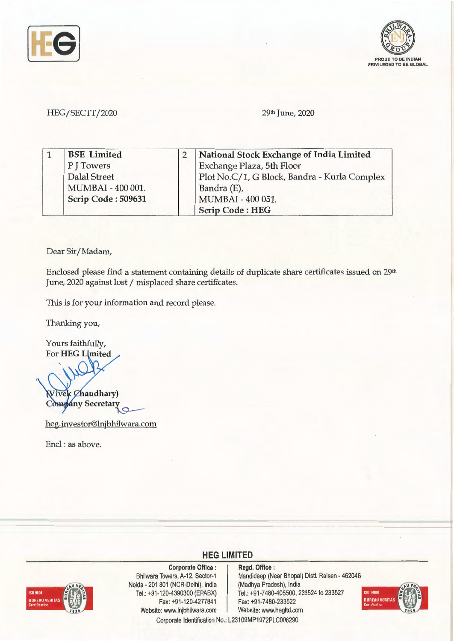



## HEG/SECTT/2020 29th June, 2020

| <b>BSE</b> Limited | National Stock Exchange of India Limited     |
|--------------------|----------------------------------------------|
| PITowers           | Exchange Plaza, 5th Floor                    |
| Dalal Street       | Plot No.C/1, G Block, Bandra - Kurla Complex |
| MUMBAI - 400 001.  | Bandra (E),                                  |
| Scrip Code: 509631 | MUMBAI - 400 051.                            |
|                    | <b>Scrip Code: HEG</b>                       |

Dear Sir/ Madam,

Enclosed please find a statement containing details of duplicate share certificates issued on 29<sup>th</sup> June, 2020 against lost / misplaced share certificates.

This is for your information and record please.

Thanking you,

Yours faithfully, For HEG Limited

ivek *Chaudhary*) Company Secretary

heg.investor@lnjbhilwara.com

Encl : as above.



**Corporate Office** : Bhilwara Towers, A-12, Sector-1 Naida - 201 301 (NCR-Delhi), India Tel.: +91-120-4390300 (EPABX) Fax: +91 -120-4277841 Website: www.lnjbhilwara.com | Website: www.hegltd.com

**Regd. Office** : Mandideep (Near Bhopal) Distt. Raisen - 462046 (Madhya Pradesh), India Tel.: +91 -7480-405500, 233524 to 233527 Fax: +91 -7480-233522



Corporate Identification No.: L23109MP1972PLC008290

**HEG LIMITED**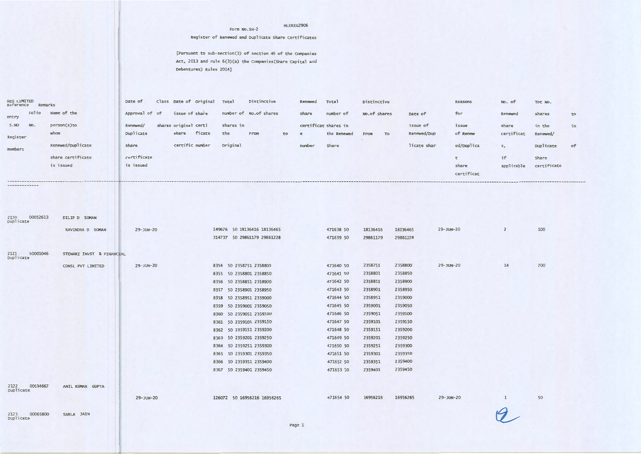## HLEREG2906

## **Register of Renewed and Duplicate Share certificates**

**[Pursuant to sub-section(3) of section 46 of the Companies Act, 2013 and rule 6(3)(a) the companies(Share Capital and Debentures) Rules 2014]** 

**Form No.SH- 2** 

| HEG LIMITED<br>Reference<br>Remarks |                           | Date of        | Class Date of Original Total |                         | Distinctive                                                | Renewed | Total                | Distinctive  |                    | Reasons         | No. of         | Tot No.     |    |
|-------------------------------------|---------------------------|----------------|------------------------------|-------------------------|------------------------------------------------------------|---------|----------------------|--------------|--------------------|-----------------|----------------|-------------|----|
| Folio<br>entry                      | Name of the               | Approval of of | issue of share               |                         | number of No.of shares                                     | share   | number of            | No.of shares | Date of            | for             | Renewed        | shares      | to |
| NO.<br>S.NO                         | person(s)to               | Renewed/       | shares original certi        | shares in               |                                                            |         | certificat shares in |              | issue of           | issue           | share          | in the      | in |
|                                     | whom                      | Duplicate      | ficate<br>share              | the                     | From<br>to                                                 | e       | the Renewed          | From<br>To   | Renewed/Dup        | of Renew        | certificat     | Renewed/    |    |
| Register                            |                           |                |                              |                         |                                                            |         |                      |              |                    |                 |                |             |    |
| members                             | Renewed/Duplicate         | share          | certific number              | <b>Original</b>         |                                                            | number  | Share                |              | licate shar        | ed/Duplica      | e,             | Duplicate   | of |
|                                     | share certificate         | certificate    |                              |                         |                                                            |         |                      |              |                    | t               | if             | Share       |    |
|                                     | is issued                 | is issued      |                              |                         |                                                            |         |                      |              |                    | share           | applicable     | certificate |    |
|                                     |                           |                |                              |                         |                                                            |         |                      |              |                    | certificat      |                |             |    |
|                                     |                           |                |                              |                         |                                                            |         |                      |              |                    |                 |                |             |    |
|                                     |                           |                |                              |                         |                                                            |         |                      |              |                    |                 |                |             |    |
|                                     |                           |                |                              |                         |                                                            |         |                      |              |                    |                 |                |             |    |
|                                     |                           |                |                              |                         |                                                            |         |                      |              |                    |                 |                |             |    |
| 2120<br>00052613                    | DILIP D SOMAN             |                |                              |                         |                                                            |         |                      |              |                    |                 |                |             |    |
| Duplicate                           |                           |                |                              |                         |                                                            |         | 471638 50            | 18136416     | 18136465           | $29 - JUN - 20$ | $\overline{2}$ | 100         |    |
|                                     | RAVINDRA D SOMAN          | 29-JUN-20      |                              |                         | 149676 50 18136416 18136465<br>314737 50 29861179 29861228 |         | 471639 50            | 29861179     | 29861228           |                 |                |             |    |
|                                     |                           |                |                              |                         |                                                            |         |                      |              |                    |                 |                |             |    |
| S0001046<br>2121                    | STEWARI INVST & FINANCIAL |                |                              |                         |                                                            |         |                      |              |                    |                 |                |             |    |
| Duplicate                           |                           |                |                              |                         |                                                            |         |                      |              |                    |                 |                |             |    |
|                                     | CONSL PVT LIMITED         | 29-JUN-20      |                              | 8354 50 2358751 2358800 |                                                            |         | 471640 50            | 2358751      | 2358800            | 29-JUN-20       | 14             | 700         |    |
|                                     |                           |                |                              | 8355 50 2358801 2358850 |                                                            |         | 471641 50            | 2358801      | 2358850            |                 |                |             |    |
|                                     |                           |                |                              | 8356 50 2358851 2358900 |                                                            |         | 471642 50            | 2358851      | 2358900            |                 |                |             |    |
|                                     |                           |                |                              | 8357 50 2358901 2358950 |                                                            |         | 471643 50            | 2358901      | 2358950            |                 |                |             |    |
|                                     |                           |                |                              | 8358 50 2358951 2359000 |                                                            |         | 471644 50            | 2358951      | 2359000            |                 |                |             |    |
|                                     |                           |                |                              | 8359 50 2359001 2359050 |                                                            |         | 471645 50            | 2359001      | 2359050            |                 |                |             |    |
|                                     |                           |                |                              | 8360 50 2359051 2359100 |                                                            |         | 471646 50            | 2359051      | 2359100            |                 |                |             |    |
|                                     |                           |                |                              | 8361 50 2359101 2359150 |                                                            |         | 471647 50            | 2359101      | 2359150            |                 |                |             |    |
|                                     |                           |                |                              | 8362 50 2359151 2359200 |                                                            |         | 471648 50            | 2359151      | 2359200            |                 |                |             |    |
|                                     |                           |                |                              | 8363 50 2359201 2359250 |                                                            |         | 471649 50            | 2359201      | 2359250            |                 |                |             |    |
|                                     |                           |                |                              | 8364 50 2359251 2359300 |                                                            |         | 471650 50            | 2359251      | 2359300<br>2359350 |                 |                |             |    |
|                                     |                           |                |                              | 8365 50 2359301 2359350 |                                                            |         | 471651 50            | 2359301      | 2359400            |                 |                |             |    |
|                                     |                           |                |                              | 8366 50 2359351 2359400 |                                                            |         | 471652 50            | 2359351      | 2359450            |                 |                |             |    |
|                                     |                           |                |                              | 8367 50 2359401 2359450 |                                                            |         | 471653 50            | 2359401      |                    |                 |                |             |    |
|                                     |                           |                |                              |                         |                                                            |         |                      |              |                    |                 |                |             |    |
| 2122<br>00034667<br>Duplicate       | ANIL KUMAR GUPTA          |                |                              |                         |                                                            |         |                      |              |                    |                 |                |             |    |
|                                     |                           | 29-JUN-20      |                              |                         | 126072 50 16956216 16956265                                |         | 471654 50            | 16956216     | 16956265           | 29-JUN-20       | 1              | 50          |    |
|                                     |                           |                |                              |                         |                                                            |         |                      |              |                    |                 |                |             |    |
| 00065800<br>2123<br>Duplicate       | SARLA JAIN                |                |                              |                         |                                                            |         |                      |              |                    |                 |                |             |    |
|                                     |                           |                |                              |                         |                                                            | Page 1  |                      |              |                    |                 |                |             |    |